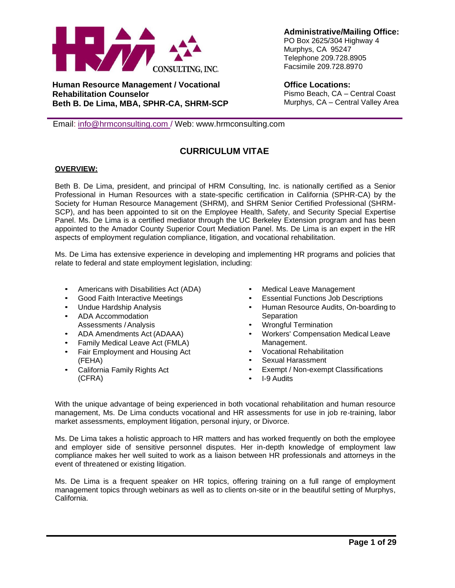

**Human Resource Management / Vocational Rehabilitation Counselor Beth B. De Lima, MBA, SPHR-CA, SHRM-SCP** **Administrative/Mailing Office:** PO Box 2625/304 Highway 4 Murphys, CA 95247 Telephone 209.728.8905 Facsimile 209.728.8970

**Office Locations:** Pismo Beach, CA – Central Coast Murphys, CA – Central Valley Area

Email: [info@hrmconsulting.com](mailto:bdelima@hrmconsulting.com) / Web: [www.hrmconsulting.com](http://www.hrmconsulting.com/)

# **CURRICULUM VITAE**

# **OVERVIEW:**

Beth B. De Lima, president, and principal of HRM Consulting, Inc. is nationally certified as a Senior Professional in Human Resources with a state-specific certification in California (SPHR-CA) by the Society for Human Resource Management (SHRM), and SHRM Senior Certified Professional (SHRM-SCP), and has been appointed to sit on the Employee Health, Safety, and Security Special Expertise Panel. Ms. De Lima is a certified mediator through the UC Berkeley Extension program and has been appointed to the Amador County Superior Court Mediation Panel. Ms. De Lima is an expert in the HR aspects of employment regulation compliance, litigation, and vocational rehabilitation.

Ms. De Lima has extensive experience in developing and implementing HR programs and policies that relate to federal and state employment legislation, including:

- Americans with Disabilities Act (ADA)
- Good Faith Interactive Meetings
- Undue Hardship Analysis
- ADA Accommodation Assessments /Analysis
- ADA Amendments Act (ADAAA)
- Family Medical Leave Act (FMLA)
- Fair Employment and Housing Act (FEHA)
- California Family Rights Act (CFRA)
- Medical Leave Management
- Essential Functions Job Descriptions
- Human Resource Audits, On-boarding to **Separation**
- Wrongful Termination
- Workers' Compensation Medical Leave Management.
- Vocational Rehabilitation
- Sexual Harassment
- Exempt / Non-exempt Classifications
- I-9 Audits

With the unique advantage of being experienced in both vocational rehabilitation and human resource management, Ms. De Lima conducts vocational and HR assessments for use in job re-training, labor market assessments, employment litigation, personal injury, or Divorce.

Ms. De Lima takes a holistic approach to HR matters and has worked frequently on both the employee and employer side of sensitive personnel disputes. Her in-depth knowledge of employment law compliance makes her well suited to work as a liaison between HR professionals and attorneys in the event of threatened or existing litigation.

Ms. De Lima is a frequent speaker on HR topics, offering training on a full range of employment management topics through webinars as well as to clients on-site or in the beautiful setting of Murphys, California.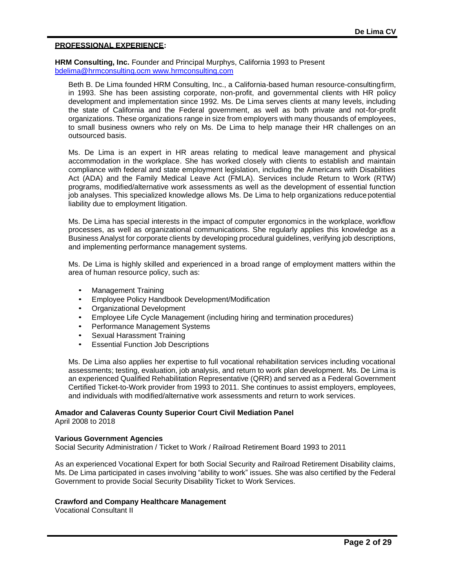## **PROFESSIONAL EXPERIENCE:**

**HRM Consulting, Inc.** Founder and Principal Murphys, California 1993 to Present [bdelima@hrmconsulting.ocm](mailto:bdelima@hrmconsulting.ocm) [www.hrmconsulting.com](http://www.hrmconsulting.com/)

Beth B. De Lima founded HRM Consulting, Inc., a California-based human resource-consultingfirm, in 1993. She has been assisting corporate, non-profit, and governmental clients with HR policy development and implementation since 1992. Ms. De Lima serves clients at many levels, including the state of California and the Federal government, as well as both private and not-for-profit organizations. These organizations range in size from employers with many thousands of employees, to small business owners who rely on Ms. De Lima to help manage their HR challenges on an outsourced basis.

Ms. De Lima is an expert in HR areas relating to medical leave management and physical accommodation in the workplace. She has worked closely with clients to establish and maintain compliance with federal and state employment legislation, including the Americans with Disabilities Act (ADA) and the Family Medical Leave Act (FMLA). Services include Return to Work (RTW) programs, modified/alternative work assessments as well as the development of essential function job analyses. This specialized knowledge allows Ms. De Lima to help organizations reduce potential liability due to employment litigation.

Ms. De Lima has special interests in the impact of computer ergonomics in the workplace, workflow processes, as well as organizational communications. She regularly applies this knowledge as a Business Analyst for corporate clients by developing procedural guidelines, verifying job descriptions, and implementing performance management systems.

Ms. De Lima is highly skilled and experienced in a broad range of employment matters within the area of human resource policy, such as:

- Management Training
- Employee Policy Handbook Development/Modification
- Organizational Development
- Employee Life Cycle Management (including hiring and termination procedures)
- Performance Management Systems
- Sexual Harassment Training
- **Essential Function Job Descriptions**

Ms. De Lima also applies her expertise to full vocational rehabilitation services including vocational assessments; testing, evaluation, job analysis, and return to work plan development. Ms. De Lima is an experienced Qualified Rehabilitation Representative (QRR) and served as a Federal Government Certified Ticket-to-Work provider from 1993 to 2011. She continues to assist employers, employees, and individuals with modified/alternative work assessments and return to work services.

## **Amador and Calaveras County Superior Court Civil Mediation Panel**

April 2008 to 2018

## **Various Government Agencies**

Social Security Administration / Ticket to Work / Railroad Retirement Board 1993 to 2011

As an experienced Vocational Expert for both Social Security and Railroad Retirement Disability claims, Ms. De Lima participated in cases involving "ability to work" issues. She was also certified by the Federal Government to provide Social Security Disability Ticket to Work Services.

## **Crawford and Company Healthcare Management**

Vocational Consultant II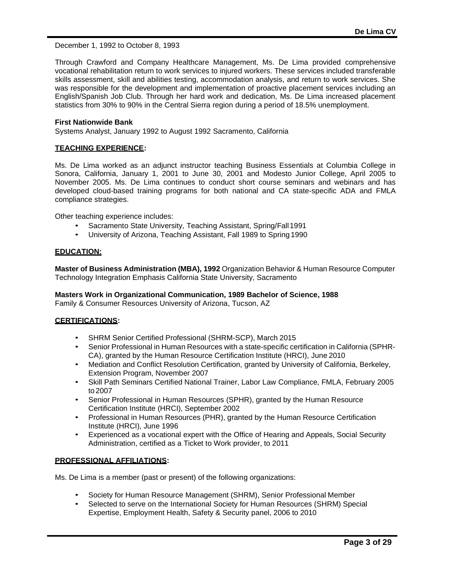December 1, 1992 to October 8, 1993

Through Crawford and Company Healthcare Management, Ms. De Lima provided comprehensive vocational rehabilitation return to work services to injured workers. These services included transferable skills assessment, skill and abilities testing, accommodation analysis, and return to work services. She was responsible for the development and implementation of proactive placement services including an English/Spanish Job Club. Through her hard work and dedication, Ms. De Lima increased placement statistics from 30% to 90% in the Central Sierra region during a period of 18.5% unemployment.

#### **First Nationwide Bank**

Systems Analyst, January 1992 to August 1992 Sacramento, California

#### **TEACHING EXPERIENCE:**

Ms. De Lima worked as an adjunct instructor teaching Business Essentials at Columbia College in Sonora, California, January 1, 2001 to June 30, 2001 and Modesto Junior College, April 2005 to November 2005. Ms. De Lima continues to conduct short course seminars and webinars and has developed cloud-based training programs for both national and CA state-specific ADA and FMLA compliance strategies.

Other teaching experience includes:

- Sacramento State University, Teaching Assistant, Spring/Fall1991
- University of Arizona, Teaching Assistant, Fall 1989 to Spring1990

#### **EDUCATION:**

**Master of Business Administration (MBA), 1992** Organization Behavior & Human Resource Computer Technology Integration Emphasis California State University, Sacramento

**Masters Work in Organizational Communication, 1989 Bachelor of Science, 1988** Family & Consumer Resources University of Arizona, Tucson, AZ

## **CERTIFICATIONS:**

- SHRM Senior Certified Professional (SHRM-SCP), March 2015
- Senior Professional in Human Resources with a state-specific certification in California (SPHR-CA), granted by the Human Resource Certification Institute (HRCI), June2010
- Mediation and Conflict Resolution Certification, granted by University of California, Berkeley, Extension Program, November 2007
- Skill Path Seminars Certified National Trainer, Labor Law Compliance, FMLA, February 2005 to2007
- Senior Professional in Human Resources (SPHR), granted by the Human Resource Certification Institute (HRCI), September 2002
- Professional in Human Resources (PHR), granted by the Human Resource Certification Institute (HRCI), June 1996
- Experienced as a vocational expert with the Office of Hearing and Appeals, Social Security Administration, certified as a Ticket to Work provider, to 2011

## **PROFESSIONAL AFFILIATIONS:**

Ms. De Lima is a member (past or present) of the following organizations:

- Society for Human Resource Management (SHRM), Senior Professional Member
- Selected to serve on the International Society for Human Resources (SHRM) Special Expertise, Employment Health, Safety & Security panel, 2006 to 2010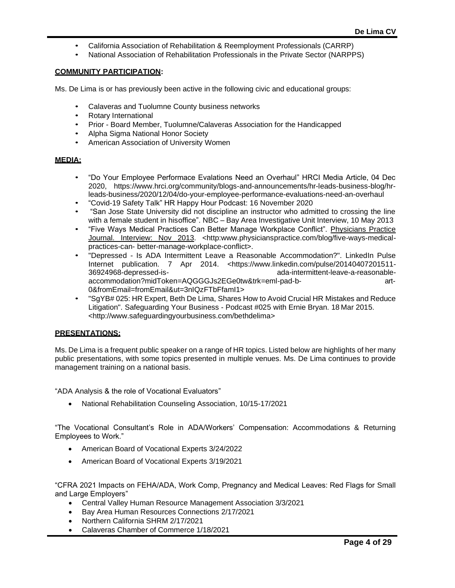- California Association of Rehabilitation & Reemployment Professionals (CARRP)
- National Association of Rehabilitation Professionals in the Private Sector (NARPPS)

#### **COMMUNITY PARTICIPATION:**

Ms. De Lima is or has previously been active in the following civic and educational groups:

- Calaveras and Tuolumne County business networks
- Rotary International
- Prior Board Member, Tuolumne/Calaveras Association for the Handicapped
- Alpha Sigma National Honor Society
- American Association of University Women

## **MEDIA:**

- "Do Your Employee Performace Evalations Need an Overhaul" HRCI Media Article, 04 Dec 2020, https://www.hrci.org/community/blogs-and-announcements/hr-leads-business-blog/hrleads-business/2020/12/04/do-your-employee-performance-evaluations-need-an-overhaul
- "Covid-19 Safety Talk" HR Happy Hour Podcast: 16 November 2020
- "San Jose State University did not discipline an instructor who admitted to crossing the line with a female student in hisoffice". NBC - Bay Area Investigative Unit Interview, 10 May 2013
- "Five Ways Medical Practices Can Better Manage Workplace Conflict". Physicians Practice Journal. Interview: Nov 2013. [<http:www.physicianspractice.com/blog/five-ways-medical](http://www.physicianspractice.com/blog/five-ways-medical-practices-can-)[practices-can-](http://www.physicianspractice.com/blog/five-ways-medical-practices-can-) better-manage-workplace-conflict>.
- "Depressed Is ADA Intermittent Leave a Reasonable Accommodation?". LinkedIn Pulse Internet publication. 7 Apr 2014. <https:/[/www.linkedin.com/pulse/20140407201511-](http://www.linkedin.com/pulse/20140407201511-36924968-depressed-is-) [36924968-depressed-is-](http://www.linkedin.com/pulse/20140407201511-36924968-depressed-is-) ada-intermittent-leave-a-reasonableaccommodation?midToken=AQGGGJs2EGe0tw&trk=eml-pad-b- art-0&fromEmail=fromEmail&ut=3nIQzFTbFfamI1>
- "SgYB# 025: HR Expert, Beth De Lima, Shares How to Avoid Crucial HR Mistakes and Reduce Litigation". Safeguarding Your Business - Podcast #025 with Ernie Bryan. 18 Mar 2015. [<http://www.safeguardingyourbusiness.com/bethdelima>](http://www.safeguardingyourbusiness.com/bethdelima)

# **PRESENTATIONS:**

Ms. De Lima is a frequent public speaker on a range of HR topics. Listed below are highlights of her many public presentations, with some topics presented in multiple venues. Ms. De Lima continues to provide management training on a national basis.

"ADA Analysis & the role of Vocational Evaluators"

• National Rehabilitation Counseling Association, 10/15-17/2021

"The Vocational Consultant's Role in ADA/Workers' Compensation: Accommodations & Returning Employees to Work."

- American Board of Vocational Experts 3/24/2022
- American Board of Vocational Experts 3/19/2021

"CFRA 2021 Impacts on FEHA/ADA, Work Comp, Pregnancy and Medical Leaves: Red Flags for Small and Large Employers"

- Central Valley Human Resource Management Association 3/3/2021
- Bay Area Human Resources Connections 2/17/2021
- Northern California SHRM 2/17/2021
- Calaveras Chamber of Commerce 1/18/2021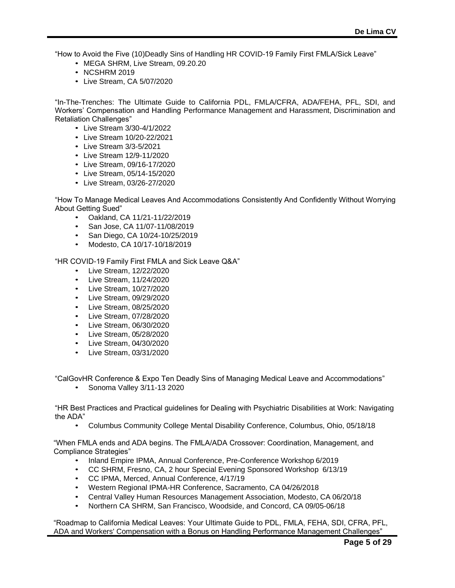"How to Avoid the Five (10)Deadly Sins of Handling HR COVID-19 Family First FMLA/Sick Leave"

- MEGA SHRM, Live Stream, 09.20.20
- NCSHRM 2019
- Live Stream, CA 5/07/2020

"In-The-Trenches: The Ultimate Guide to California PDL, FMLA/CFRA, ADA/FEHA, PFL, SDI, and Workers' Compensation and Handling Performance Management and Harassment, Discrimination and Retaliation Challenges"

- Live Stream 3/30-4/1/2022
- Live Stream 10/20-22/2021
- Live Stream 3/3-5/2021
- Live Stream 12/9-11/2020
- Live Stream, 09/16-17/2020
- Live Stream, 05/14-15/2020
- Live Stream, 03/26-27/2020

"How To Manage Medical Leaves And Accommodations Consistently And Confidently Without Worrying About Getting Sued"

- Oakland, CA 11/21-11/22/2019
- San Jose, CA 11/07-11/08/2019
- San Diego, CA 10/24-10/25/2019
- Modesto, CA 10/17-10/18/2019

"HR COVID-19 Family First FMLA and Sick Leave Q&A"

- Live Stream, 12/22/2020
- Live Stream, 11/24/2020
- Live Stream, 10/27/2020
- Live Stream, 09/29/2020
- Live Stream, 08/25/2020
- Live Stream, 07/28/2020
- Live Stream, 06/30/2020
- Live Stream, 05/28/2020
- Live Stream, 04/30/2020
- Live Stream, 03/31/2020

"CalGovHR Conference & Expo Ten Deadly Sins of Managing Medical Leave and Accommodations"

• Sonoma Valley 3/11-13 2020

"HR Best Practices and Practical guidelines for Dealing with Psychiatric Disabilities at Work: Navigating the ADA"

• Columbus Community College Mental Disability Conference, Columbus, Ohio, 05/18/18

"When FMLA ends and ADA begins. The FMLA/ADA Crossover: Coordination, Management, and Compliance Strategies"

- Inland Empire IPMA, Annual Conference, Pre-Conference Workshop 6/2019
- CC SHRM, Fresno, CA, 2 hour Special Evening Sponsored Workshop 6/13/19
- CC IPMA, Merced, Annual Conference, 4/17/19
- Western Regional IPMA-HR Conference, Sacramento, CA 04/26/2018
- Central Valley Human Resources Management Association, Modesto, CA 06/20/18
- Northern CA SHRM, San Francisco, Woodside, and Concord, CA 09/05-06/18

"Roadmap to California Medical Leaves: Your Ultimate Guide to PDL, FMLA, FEHA, SDI, CFRA, PFL, ADA and Workers' Compensation with a Bonus on Handling Performance Management Challenges"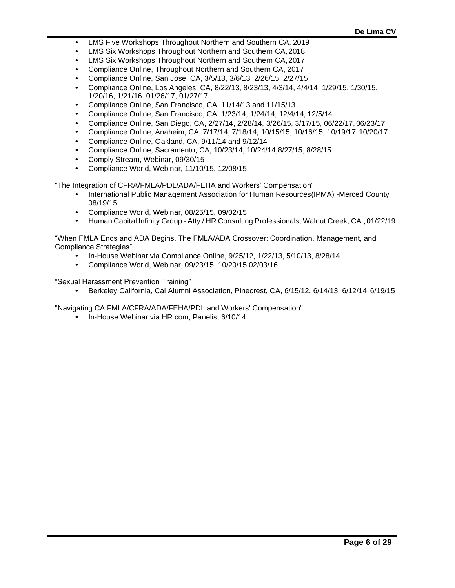- LMS Five Workshops Throughout Northern and Southern CA, 2019
- LMS Six Workshops Throughout Northern and Southern CA,2018
- LMS Six Workshops Throughout Northern and Southern CA,2017
- Compliance Online, Throughout Northern and Southern CA, 2017
- Compliance Online, San Jose, CA, 3/5/13, 3/6/13, 2/26/15, 2/27/15
- Compliance Online, Los Angeles, CA, 8/22/13, 8/23/13, 4/3/14, 4/4/14, 1/29/15, 1/30/15, 1/20/16, 1/21/16. 01/26/17, 01/27/17
- Compliance Online, San Francisco, CA, 11/14/13 and 11/15/13
- Compliance Online, San Francisco, CA, 1/23/14, 1/24/14, 12/4/14, 12/5/14
- Compliance Online, San Diego, CA, 2/27/14, 2/28/14, 3/26/15, 3/17/15, 06/22/17,06/23/17
- Compliance Online, Anaheim, CA, 7/17/14, 7/18/14, 10/15/15, 10/16/15, 10/19/17,10/20/17
- Compliance Online, Oakland, CA, 9/11/14 and 9/12/14
- Compliance Online, Sacramento, CA, 10/23/14, 10/24/14,8/27/15, 8/28/15
- Comply Stream, Webinar, 09/30/15
- Compliance World, Webinar, 11/10/15, 12/08/15

"The Integration of CFRA/FMLA/PDL/ADA/FEHA and Workers' Compensation"

- International Public Management Association for Human Resources(IPMA) -Merced County 08/19/15
- Compliance World, Webinar, 08/25/15, 09/02/15
- Human Capital Infinity Group Atty / HR Consulting Professionals, Walnut Creek, CA., 01/22/19

"When FMLA Ends and ADA Begins. The FMLA/ADA Crossover: Coordination, Management, and Compliance Strategies"

- In-House Webinar via Compliance Online, 9/25/12, 1/22/13, 5/10/13, 8/28/14
- Compliance World, Webinar, 09/23/15, 10/20/15 02/03/16

"Sexual Harassment Prevention Training"

• Berkeley California, Cal Alumni Association, Pinecrest, CA, 6/15/12, 6/14/13, 6/12/14,6/19/15

"Navigating CA FMLA/CFRA/ADA/FEHA/PDL and Workers' Compensation"

• In-House Webinar via HR.com, Panelist 6/10/14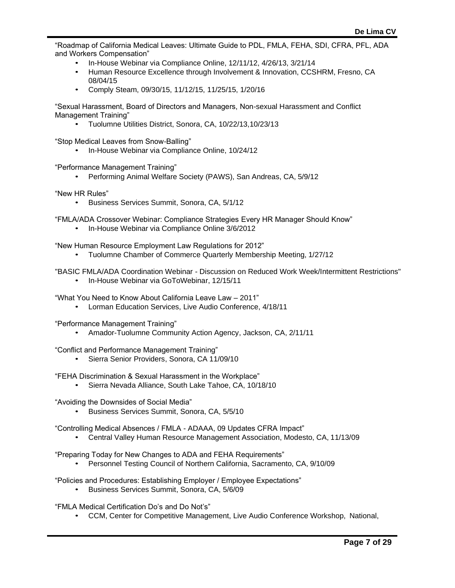"Roadmap of California Medical Leaves: Ultimate Guide to PDL, FMLA, FEHA, SDI, CFRA, PFL, ADA and Workers Compensation"

- In-House Webinar via Compliance Online, 12/11/12, 4/26/13, 3/21/14
- Human Resource Excellence through Involvement & Innovation, CCSHRM, Fresno, CA 08/04/15
- Comply Steam, 09/30/15, 11/12/15, 11/25/15, 1/20/16

"Sexual Harassment, Board of Directors and Managers, Non-sexual Harassment and Conflict Management Training"

• Tuolumne Utilities District, Sonora, CA, 10/22/13,10/23/13

"Stop Medical Leaves from Snow-Balling"

• In-House Webinar via Compliance Online, 10/24/12

"Performance Management Training"

• Performing Animal Welfare Society (PAWS), San Andreas, CA, 5/9/12

"New HR Rules"

- Business Services Summit, Sonora, CA, 5/1/12
- "FMLA/ADA Crossover Webinar: Compliance Strategies Every HR Manager Should Know"
	- In-House Webinar via Compliance Online 3/6/2012

"New Human Resource Employment Law Regulations for 2012"

- Tuolumne Chamber of Commerce Quarterly Membership Meeting, 1/27/12
- "BASIC FMLA/ADA Coordination Webinar Discussion on Reduced Work Week/Intermittent Restrictions"
	- In-House Webinar via GoToWebinar, 12/15/11

"What You Need to Know About California Leave Law – 2011"

• Lorman Education Services, Live Audio Conference, 4/18/11

"Performance Management Training"

• Amador-Tuolumne Community Action Agency, Jackson, CA, 2/11/11

"Conflict and Performance Management Training"

• Sierra Senior Providers, Sonora, CA 11/09/10

"FEHA Discrimination & Sexual Harassment in the Workplace"

• Sierra Nevada Alliance, South Lake Tahoe, CA, 10/18/10

"Avoiding the Downsides of Social Media"

• Business Services Summit, Sonora, CA, 5/5/10

"Controlling Medical Absences / FMLA - ADAAA, 09 Updates CFRA Impact"

• Central Valley Human Resource Management Association, Modesto, CA, 11/13/09

"Preparing Today for New Changes to ADA and FEHA Requirements"

- Personnel Testing Council of Northern California, Sacramento, CA, 9/10/09
- "Policies and Procedures: Establishing Employer / Employee Expectations"
	- Business Services Summit, Sonora, CA, 5/6/09

"FMLA Medical Certification Do's and Do Not's"

• CCM, Center for Competitive Management, Live Audio Conference Workshop, National,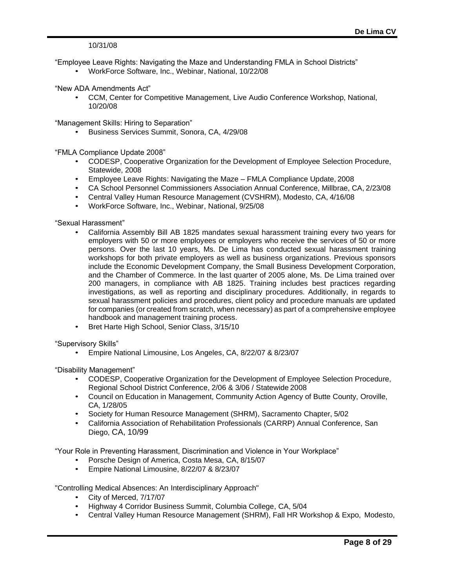10/31/08

"Employee Leave Rights: Navigating the Maze and Understanding FMLA in School Districts"

• WorkForce Software, Inc., Webinar, National, 10/22/08

"New ADA Amendments Act"

• CCM, Center for Competitive Management, Live Audio Conference Workshop, National, 10/20/08

"Management Skills: Hiring to Separation"

• Business Services Summit, Sonora, CA, 4/29/08

"FMLA Compliance Update 2008"

- CODESP, Cooperative Organization for the Development of Employee Selection Procedure, Statewide, 2008
- Employee Leave Rights: Navigating the Maze FMLA Compliance Update,2008
- CA School Personnel Commissioners Association Annual Conference, Millbrae, CA,2/23/08
- Central Valley Human Resource Management (CVSHRM), Modesto, CA, 4/16/08
- WorkForce Software, Inc., Webinar, National, 9/25/08

"Sexual Harassment"

- California Assembly Bill AB 1825 mandates sexual harassment training every two years for employers with 50 or more employees or employers who receive the services of 50 or more persons. Over the last 10 years, Ms. De Lima has conducted sexual harassment training workshops for both private employers as well as business organizations. Previous sponsors include the Economic Development Company, the Small Business Development Corporation, and the Chamber of Commerce. In the last quarter of 2005 alone, Ms. De Lima trained over 200 managers, in compliance with AB 1825. Training includes best practices regarding investigations, as well as reporting and disciplinary procedures. Additionally, in regards to sexual harassment policies and procedures, client policy and procedure manuals are updated for companies (or created from scratch, when necessary) as part of a comprehensive employee handbook and management training process.
- Bret Harte High School, Senior Class, 3/15/10

"Supervisory Skills"

• Empire National Limousine, Los Angeles, CA, 8/22/07 & 8/23/07

"Disability Management"

- CODESP, Cooperative Organization for the Development of Employee Selection Procedure, Regional School District Conference, 2/06 & 3/06 / Statewide2008
- Council on Education in Management, Community Action Agency of Butte County, Oroville, CA, 1/28/05
- Society for Human Resource Management (SHRM), Sacramento Chapter, 5/02
- California Association of Rehabilitation Professionals (CARRP) Annual Conference, San Diego, CA, 10/99

"Your Role in Preventing Harassment, Discrimination and Violence in Your Workplace"

- Porsche Design of America, Costa Mesa, CA, 8/15/07
- Empire National Limousine, 8/22/07 & 8/23/07

"Controlling Medical Absences: An Interdisciplinary Approach"

- City of Merced, 7/17/07
- Highway 4 Corridor Business Summit, Columbia College, CA, 5/04
- Central Valley Human Resource Management (SHRM), Fall HR Workshop & Expo, Modesto,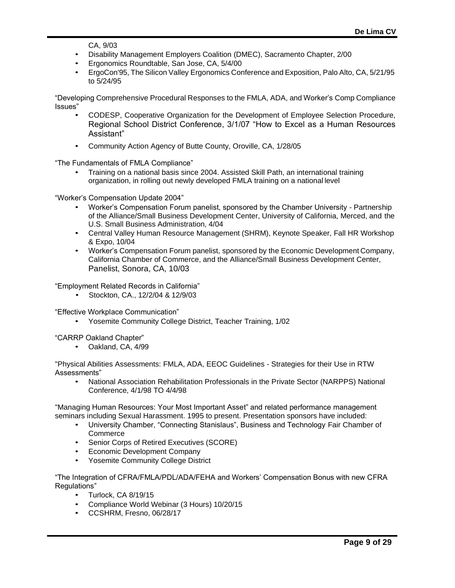CA, 9/03

- Disability Management Employers Coalition (DMEC), Sacramento Chapter, 2/00
- Ergonomics Roundtable, San Jose, CA, 5/4/00
- ErgoCon'95, The Silicon Valley Ergonomics Conferenceand Exposition, Palo Alto, CA,5/21/95 to 5/24/95

"Developing Comprehensive Procedural Responses to the FMLA, ADA, and Worker's Comp Compliance Issues"

- CODESP, Cooperative Organization for the Development of Employee Selection Procedure, Regional School District Conference, 3/1/07 "How to Excel as a Human Resources Assistant"
- Community Action Agency of Butte County, Oroville, CA, 1/28/05

"The Fundamentals of FMLA Compliance"

• Training on a national basis since 2004. Assisted Skill Path, an international training organization, in rolling out newly developed FMLA training on a national level

"Worker's Compensation Update 2004"

- Worker's Compensation Forum panelist, sponsored by the Chamber University Partnership of the Alliance/Small Business Development Center, University of California, Merced, and the U.S. Small Business Administration, 4/04
- Central Valley Human Resource Management (SHRM), Keynote Speaker, Fall HR Workshop & Expo, 10/04
- Worker's Compensation Forum panelist, sponsored by the Economic Development Company, California Chamber of Commerce, and the Alliance/Small Business Development Center, Panelist, Sonora, CA, 10/03

"Employment Related Records in California"

• Stockton, CA., 12/2/04 & 12/9/03

"Effective Workplace Communication"

• Yosemite Community College District, Teacher Training, 1/02

"CARRP Oakland Chapter"

• Oakland, CA, 4/99

"Physical Abilities Assessments: FMLA, ADA, EEOC Guidelines - Strategies for their Use in RTW Assessments"

• National Association Rehabilitation Professionals in the Private Sector (NARPPS) National Conference, 4/1/98 TO 4/4/98

"Managing Human Resources: Your Most Important Asset" and related performance management seminars including Sexual Harassment. 1995 to present. Presentation sponsors have included:

- University Chamber, "Connecting Stanislaus", Business and Technology Fair Chamber of **Commerce**
- Senior Corps of Retired Executives (SCORE)
- Economic Development Company
- Yosemite Community College District

"The Integration of CFRA/FMLA/PDL/ADA/FEHA and Workers' Compensation Bonus with new CFRA Regulations"

- Turlock, CA 8/19/15
- Compliance World Webinar (3 Hours) 10/20/15
- CCSHRM, Fresno, 06/28/17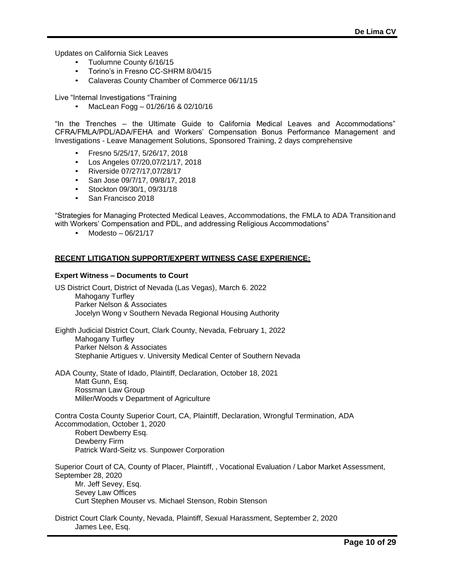Updates on California Sick Leaves

- Tuolumne County 6/16/15
- Torino's in Fresno CC-SHRM 8/04/15
- Calaveras County Chamber of Commerce 06/11/15

Live "Internal Investigations "Training

• MacLean Fogg – 01/26/16 & 02/10/16

"In the Trenches – the Ultimate Guide to California Medical Leaves and Accommodations" CFRA/FMLA/PDL/ADA/FEHA and Workers' Compensation Bonus Performance Management and Investigations - Leave Management Solutions, Sponsored Training, 2 days comprehensive

- Fresno 5/25/17, 5/26/17, 2018
- Los Angeles 07/20,07/21/17, 2018
- Riverside 07/27/17,07/28/17
- San Jose 09/7/17, 09/8/17, 2018
- Stockton 09/30/1, 09/31/18
- San Francisco 2018

"Strategies for Managing Protected Medical Leaves, Accommodations, the FMLA to ADA Transitionand with Workers' Compensation and PDL, and addressing Religious Accommodations"

• Modesto – 06/21/17

#### **RECENT LITIGATION SUPPORT/EXPERT WITNESS CASE EXPERIENCE:**

#### **Expert Witness – Documents to Court**

US District Court, District of Nevada (Las Vegas), March 6. 2022 Mahogany Turfley Parker Nelson & Associates Jocelyn Wong v Southern Nevada Regional Housing Authority

Eighth Judicial District Court, Clark County, Nevada, February 1, 2022 Mahogany Turfley Parker Nelson & Associates Stephanie Artigues v. University Medical Center of Southern Nevada

ADA County, State of Idado, Plaintiff, Declaration, October 18, 2021 Matt Gunn, Esq. Rossman Law Group Miller/Woods v Department of Agriculture

Contra Costa County Superior Court, CA, Plaintiff, Declaration, Wrongful Termination, ADA Accommodation, October 1, 2020 Robert Dewberry Esq. Dewberry Firm Patrick Ward-Seitz vs. Sunpower Corporation

Superior Court of CA, County of Placer, Plaintiff, , Vocational Evaluation / Labor Market Assessment, September 28, 2020 Mr. Jeff Sevey, Esq. Sevey Law Offices Curt Stephen Mouser vs. Michael Stenson, Robin Stenson

District Court Clark County, Nevada, Plaintiff, Sexual Harassment, September 2, 2020 James Lee, Esq.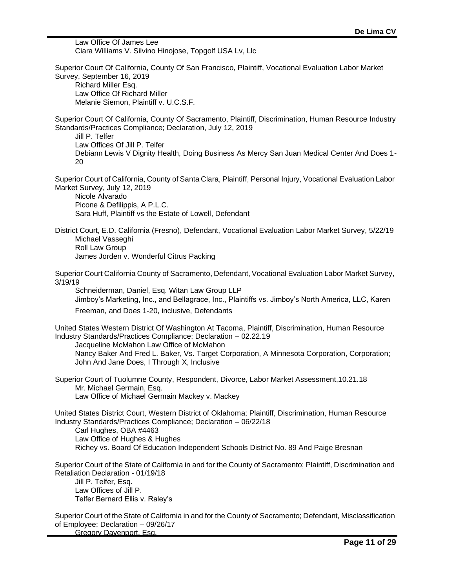Law Office Of James Lee Ciara Williams V. Silvino Hinojose, Topgolf USA Lv, Llc Superior Court Of California, County Of San Francisco, Plaintiff, Vocational Evaluation Labor Market Survey, September 16, 2019 Richard Miller Esq. Law Office Of Richard Miller Melanie Siemon, Plaintiff v. U.C.S.F. Superior Court Of California, County Of Sacramento, Plaintiff, Discrimination, Human Resource Industry Standards/Practices Compliance; Declaration, July 12, 2019 Jill P. Telfer Law Offices Of Jill P. Telfer Debiann Lewis V Dignity Health, Doing Business As Mercy San Juan Medical Center And Does 1- 20 Superior Court of California, County of Santa Clara, Plaintiff, Personal Injury, Vocational Evaluation Labor Market Survey, July 12, 2019 Nicole Alvarado Picone & Defilippis, A P.L.C. Sara Huff, Plaintiff vs the Estate of Lowell, Defendant District Court, E.D. California (Fresno), Defendant, Vocational Evaluation Labor Market Survey, 5/22/19 Michael Vasseghi Roll Law Group James Jorden v. Wonderful Citrus Packing Superior Court California County of Sacramento, Defendant, Vocational Evaluation Labor Market Survey, 3/19/19 Schneiderman, Daniel, Esq. Witan Law Group LLP Jimboy's Marketing, Inc., and Bellagrace, Inc., Plaintiffs vs. Jimboy's North America, LLC, Karen Freeman, and Does 1-20, inclusive, Defendants United States Western District Of Washington At Tacoma, Plaintiff, Discrimination, Human Resource Industry Standards/Practices Compliance; Declaration – 02.22.19 Jacqueline McMahon Law Office of McMahon Nancy Baker And Fred L. Baker, Vs. Target Corporation, A Minnesota Corporation, Corporation; John And Jane Does, I Through X, Inclusive Superior Court of Tuolumne County, Respondent, Divorce, Labor Market Assessment,10.21.18 Mr. Michael Germain, Esq. Law Office of Michael Germain Mackey v. Mackey United States District Court, Western District of Oklahoma; Plaintiff, Discrimination, Human Resource Industry Standards/Practices Compliance; Declaration – 06/22/18 Carl Hughes, OBA #4463 Law Office of Hughes & Hughes Richey vs. Board Of Education Independent Schools District No. 89 And Paige Bresnan Superior Court of the State of California in and for the County of Sacramento; Plaintiff, Discrimination and Retaliation Declaration - 01/19/18 Jill P. Telfer, Esq. Law Offices of Jill P. Telfer Bernard Ellis v. Raley's

Superior Court of the State of California in and for the County of Sacramento; Defendant, Misclassification of Employee; Declaration – 09/26/17

Gregory Davenport, Esg.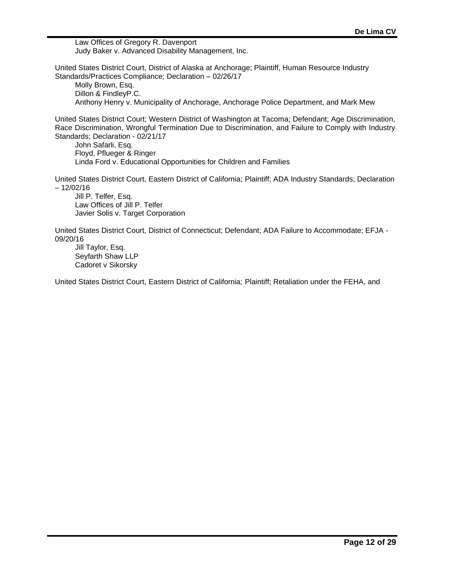Law Offices of Gregory R. Davenport Judy Baker v. Advanced Disability Management, Inc.

United States District Court, District of Alaska at Anchorage; Plaintiff, Human Resource Industry Standards/Practices Compliance; Declaration – 02/26/17

Molly Brown, Esq. Dillon & FindleyP.C. Anthony Henry v. Municipality of Anchorage, Anchorage Police Department, and Mark Mew

United States District Court; Western District of Washington at Tacoma; Defendant; Age Discrimination, Race Discrimination, Wrongful Termination Due to Discrimination, and Failure to Comply with Industry Standards; Declaration - 02/21/17

John Safarli, Esq. Floyd, Pflueger & Ringer Linda Ford v. Educational Opportunities for Children and Families

United States District Court, Eastern District of California; Plaintiff; ADA Industry Standards; Declaration – 12/02/16

Jill P. Telfer, Esq. Law Offices of Jill P. Telfer Javier Solis v. Target Corporation

United States District Court, District of Connecticut; Defendant; ADA Failure to Accommodate; EFJA - 09/20/16

Jill Taylor, Esq. Seyfarth Shaw LLP Cadoret v Sikorsky

United States District Court, Eastern District of California; Plaintiff; Retaliation under the FEHA, and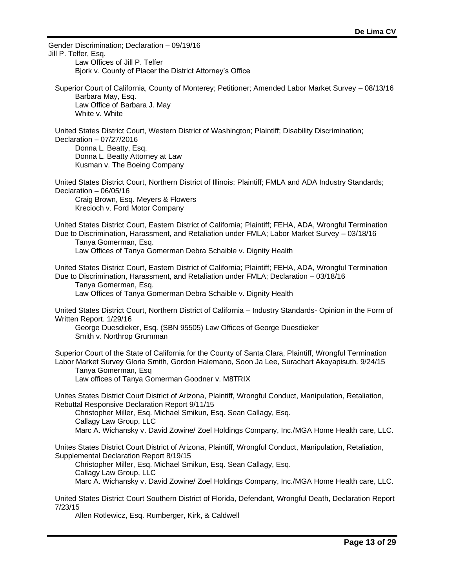Gender Discrimination; Declaration – 09/19/16 Jill P. Telfer, Esq. Law Offices of Jill P. Telfer Bjork v. County of Placer the District Attorney's Office Superior Court of California, County of Monterey; Petitioner; Amended Labor Market Survey – 08/13/16 Barbara May, Esq. Law Office of Barbara J. May White v. White United States District Court, Western District of Washington; Plaintiff; Disability Discrimination; Declaration – 07/27/2016 Donna L. Beatty, Esq. Donna L. Beatty Attorney at Law Kusman v. The Boeing Company United States District Court, Northern District of Illinois; Plaintiff; FMLA and ADA Industry Standards; Declaration – 06/05/16 Craig Brown, Esq. Meyers & Flowers Krecioch v. Ford Motor Company United States District Court, Eastern District of California; Plaintiff; FEHA, ADA, Wrongful Termination Due to Discrimination, Harassment, and Retaliation under FMLA; Labor Market Survey – 03/18/16 Tanya Gomerman, Esq. Law Offices of Tanya Gomerman Debra Schaible v. Dignity Health United States District Court, Eastern District of California; Plaintiff; FEHA, ADA, Wrongful Termination Due to Discrimination, Harassment, and Retaliation under FMLA; Declaration – 03/18/16 Tanya Gomerman, Esq. Law Offices of Tanya Gomerman Debra Schaible v. Dignity Health United States District Court, Northern District of California – Industry Standards- Opinion in the Form of Written Report. 1/29/16 George Duesdieker, Esq. (SBN 95505) Law Offices of George Duesdieker Smith v. Northrop Grumman Superior Court of the State of California for the County of Santa Clara, Plaintiff, Wrongful Termination Labor Market Survey Gloria Smith, Gordon Halemano, Soon Ja Lee, Surachart Akayapisuth. 9/24/15 Tanya Gomerman, Esq Law offices of Tanya Gomerman Goodner v. M8TRIX Unites States District Court District of Arizona, Plaintiff, Wrongful Conduct, Manipulation, Retaliation, Rebuttal Responsive Declaration Report 9/11/15 Christopher Miller, Esq. Michael Smikun, Esq. Sean Callagy, Esq. Callagy Law Group, LLC Marc A. Wichansky v. David Zowine/ Zoel Holdings Company, Inc./MGA Home Health care, LLC. Unites States District Court District of Arizona, Plaintiff, Wrongful Conduct, Manipulation, Retaliation, Supplemental Declaration Report 8/19/15 Christopher Miller, Esq. Michael Smikun, Esq. Sean Callagy, Esq. Callagy Law Group, LLC Marc A. Wichansky v. David Zowine/ Zoel Holdings Company, Inc./MGA Home Health care, LLC. United States District Court Southern District of Florida, Defendant, Wrongful Death, Declaration Report 7/23/15 Allen Rotlewicz, Esq. Rumberger, Kirk, & Caldwell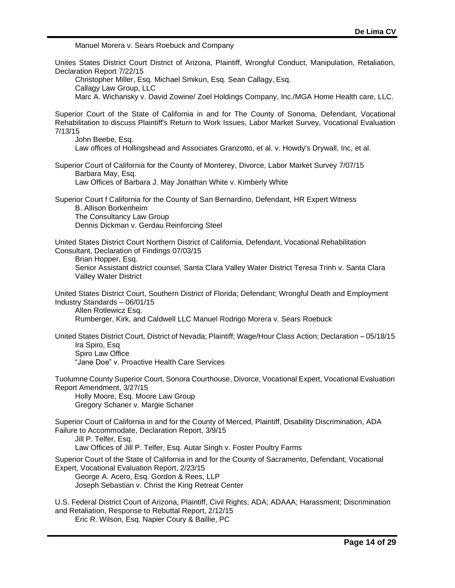Manuel Morera v. Sears Roebuck and Company Unites States District Court District of Arizona, Plaintiff, Wrongful Conduct, Manipulation, Retaliation, Declaration Report 7/22/15 Christopher Miller, Esq. Michael Smikun, Esq. Sean Callagy, Esq. Callagy Law Group, LLC Marc A. Wichansky v. David Zowine/ Zoel Holdings Company, Inc./MGA Home Health care, LLC. Superior Court of the State of California in and for The County of Sonoma, Defendant, Vocational Rehabilitation to discuss Plaintiff's Return to Work Issues, Labor Market Survey, Vocational Evaluation 7/13/15 John Beebe, Esq. Law offices of Hollingshead and Associates Granzotto, et al. v. Howdy's Drywall, Inc, et al. Superior Court of California for the County of Monterey, Divorce, Labor Market Survey 7/07/15 Barbara May, Esq. Law Offices of Barbara J. May Jonathan White v. Kimberly White Superior Court f California for the County of San Bernardino, Defendant, HR Expert Witness B. Allison Borkenheim The Consultancy Law Group Dennis Dickman v. Gerdau Reinforcing Steel United States District Court Northern District of California, Defendant, Vocational Rehabilitation Consultant, Declaration of Findings 07/03/15 Brian Hopper, Esq. Senior Assistant district counsel, Santa Clara Valley Water District Teresa Trinh v. Santa Clara Valley Water District United States District Court, Southern District of Florida; Defendant; Wrongful Death and Employment Industry Standards – 06/01/15 Allen Rotlewicz Esq. Rumberger, Kirk, and Caldwell LLC Manuel Rodrigo Morera v. Sears Roebuck United States District Court, District of Nevada; Plaintiff; Wage/Hour Class Action; Declaration – 05/18/15 Ira Spiro, Esq Spiro Law Office "Jane Doe" v. Proactive Health Care Services Tuolumne County Superior Court, Sonora Courthouse, Divorce, Vocational Expert, Vocational Evaluation Report Amendment, 3/27/15 Holly Moore, Esq. Moore Law Group Gregory Schaner v. Margie Schaner Superior Court of California in and for the County of Merced, Plaintiff, Disability Discrimination, ADA Failure to Accommodate, Declaration Report, 3/9/15 Jill P. Telfer, Esq. Law Offices of Jill P. Telfer, Esq. Autar Singh v. Foster Poultry Farms Superior Court of the State of California in and for the County of Sacramento, Defendant, Vocational Expert, Vocational Evaluation Report, 2/23/15 George A. Acero, Esq. Gordon & Rees, LLP Joseph Sebastian v. Christ the King Retreat Center U.S. Federal District Court of Arizona, Plaintiff, Civil Rights; ADA; ADAAA; Harassment; Discrimination and Retaliation, Response to Rebuttal Report, 2/12/15 Eric R. Wilson, Esq. Napier Coury & Baillie, PC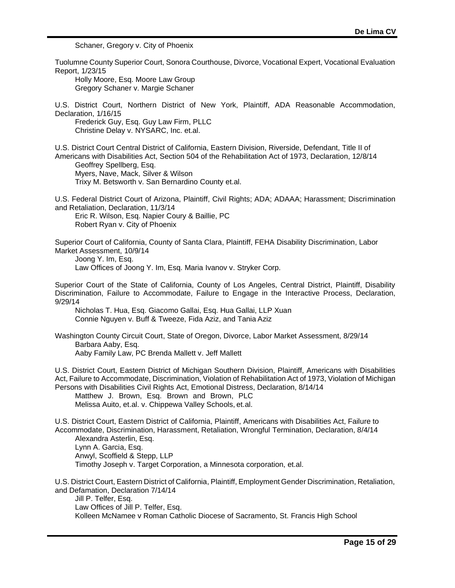Schaner, Gregory v. City of Phoenix

Tuolumne County Superior Court, Sonora Courthouse, Divorce, Vocational Expert, Vocational Evaluation Report, 1/23/15 Holly Moore, Esq. Moore Law Group Gregory Schaner v. Margie Schaner U.S. District Court, Northern District of New York, Plaintiff, ADA Reasonable Accommodation, Declaration, 1/16/15 Frederick Guy, Esq. Guy Law Firm, PLLC Christine Delay v. NYSARC, Inc. et.al. U.S. District Court Central District of California, Eastern Division, Riverside, Defendant, Title II of Americans with Disabilities Act, Section 504 of the Rehabilitation Act of 1973, Declaration, 12/8/14 Geoffrey Spellberg, Esq. Myers, Nave, Mack, Silver & Wilson Trixy M. Betsworth v. San Bernardino County et.al. U.S. Federal District Court of Arizona, Plaintiff, Civil Rights; ADA; ADAAA; Harassment; Discrimination and Retaliation, Declaration, 11/3/14 Eric R. Wilson, Esq. Napier Coury & Baillie, PC Robert Ryan v. City of Phoenix Superior Court of California, County of Santa Clara, Plaintiff, FEHA Disability Discrimination, Labor Market Assessment, 10/9/14 Joong Y. Im, Esq. Law Offices of Joong Y. Im, Esq. Maria Ivanov v. Stryker Corp. Superior Court of the State of California, County of Los Angeles, Central District, Plaintiff, Disability Discrimination, Failure to Accommodate, Failure to Engage in the Interactive Process, Declaration, 9/29/14 Nicholas T. Hua, Esq. Giacomo Gallai, Esq. Hua Gallai, LLP Xuan Connie Nguyen v. Buff & Tweeze, Fida Aziz, and Tania Aziz Washington County Circuit Court, State of Oregon, Divorce, Labor Market Assessment, 8/29/14 Barbara Aaby, Esq. Aaby Family Law, PC Brenda Mallett v. Jeff Mallett U.S. District Court, Eastern District of Michigan Southern Division, Plaintiff, Americans with Disabilities Act, Failure to Accommodate, Discrimination, Violation of Rehabilitation Act of 1973, Violation of Michigan Persons with Disabilities Civil Rights Act, Emotional Distress, Declaration, 8/14/14 Matthew J. Brown, Esq. Brown and Brown, PLC Melissa Auito, et.al. v. Chippewa Valley Schools, et.al. U.S. District Court, Eastern District of California, Plaintiff, Americans with Disabilities Act, Failure to Accommodate, Discrimination, Harassment, Retaliation, Wrongful Termination, Declaration, 8/4/14 Alexandra Asterlin, Esq. Lynn A. Garcia, Esq. Anwyl, Scoffield & Stepp, LLP Timothy Joseph v. Target Corporation, a Minnesota corporation, et.al. U.S. District Court, Eastern District of California, Plaintiff, Employment Gender Discrimination, Retaliation, and Defamation, Declaration 7/14/14 Jill P. Telfer, Esq. Law Offices of Jill P. Telfer, Esq. Kolleen McNamee v Roman Catholic Diocese of Sacramento, St. Francis High School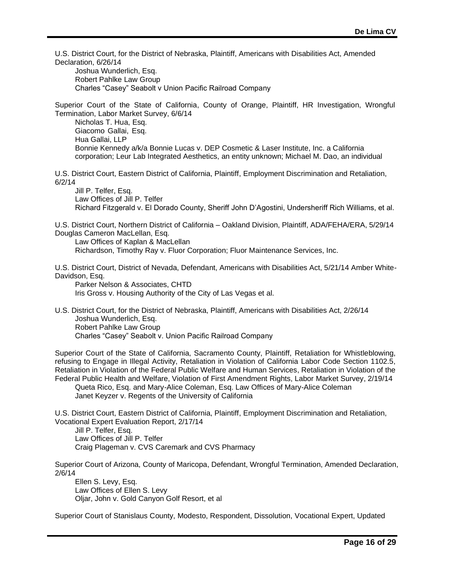U.S. District Court, for the District of Nebraska, Plaintiff, Americans with Disabilities Act, Amended Declaration, 6/26/14

Joshua Wunderlich, Esq. Robert Pahlke Law Group Charles "Casey" Seabolt v Union Pacific Railroad Company

Superior Court of the State of California, County of Orange, Plaintiff, HR Investigation, Wrongful Termination, Labor Market Survey, 6/6/14

Nicholas T. Hua, Esq. Giacomo Gallai, Esq. Hua Gallai, LLP Bonnie Kennedy a/k/a Bonnie Lucas v. DEP Cosmetic & Laser Institute, Inc. a California corporation; Leur Lab Integrated Aesthetics, an entity unknown; Michael M. Dao, an individual

U.S. District Court, Eastern District of California, Plaintiff, Employment Discrimination and Retaliation, 6/2/14

Jill P. Telfer, Esq. Law Offices of Jill P. Telfer Richard Fitzgerald v. El Dorado County, Sheriff John D'Agostini, Undersheriff Rich Williams, et al.

U.S. District Court, Northern District of California – Oakland Division, Plaintiff, ADA/FEHA/ERA, 5/29/14 Douglas Cameron MacLellan, Esq.

Law Offices of Kaplan & MacLellan Richardson, Timothy Ray v. Fluor Corporation; Fluor Maintenance Services, Inc.

U.S. District Court, District of Nevada, Defendant, Americans with Disabilities Act, 5/21/14 Amber White-Davidson, Esq.

Parker Nelson & Associates, CHTD Iris Gross v. Housing Authority of the City of Las Vegas et al.

U.S. District Court, for the District of Nebraska, Plaintiff, Americans with Disabilities Act, 2/26/14 Joshua Wunderlich, Esq. Robert Pahlke Law Group Charles "Casey" Seabolt v. Union Pacific Railroad Company

Superior Court of the State of California, Sacramento County, Plaintiff, Retaliation for Whistleblowing, refusing to Engage in Illegal Activity, Retaliation in Violation of California Labor Code Section 1102.5, Retaliation in Violation of the Federal Public Welfare and Human Services, Retaliation in Violation of the Federal Public Health and Welfare, Violation of First Amendment Rights, Labor Market Survey, 2/19/14

Queta Rico, Esq. and Mary-Alice Coleman, Esq. Law Offices of Mary-Alice Coleman Janet Keyzer v. Regents of the University of California

U.S. District Court, Eastern District of California, Plaintiff, Employment Discrimination and Retaliation, Vocational Expert Evaluation Report, 2/17/14

Jill P. Telfer, Esq. Law Offices of Jill P. Telfer Craig Plageman v. CVS Caremark and CVS Pharmacy

Superior Court of Arizona, County of Maricopa, Defendant, Wrongful Termination, Amended Declaration, 2/6/14

Ellen S. Levy, Esq. Law Offices of Ellen S. Levy Oljar, John v. Gold Canyon Golf Resort, et al

Superior Court of Stanislaus County, Modesto, Respondent, Dissolution, Vocational Expert, Updated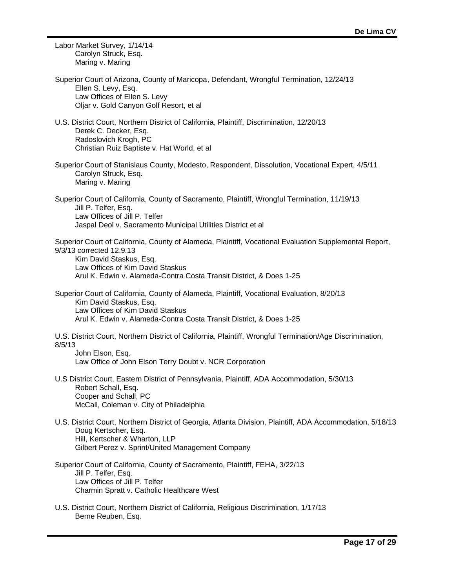| Labor Market Survey, 1/14/14<br>Carolyn Struck, Esq.<br>Maring v. Maring                                                                                                                                                                                                 |
|--------------------------------------------------------------------------------------------------------------------------------------------------------------------------------------------------------------------------------------------------------------------------|
| Superior Court of Arizona, County of Maricopa, Defendant, Wrongful Termination, 12/24/13<br>Ellen S. Levy, Esq.<br>Law Offices of Ellen S. Levy<br>Oljar v. Gold Canyon Golf Resort, et al                                                                               |
| U.S. District Court, Northern District of California, Plaintiff, Discrimination, 12/20/13<br>Derek C. Decker, Esq.<br>Radoslovich Krogh, PC<br>Christian Ruiz Baptiste v. Hat World, et al                                                                               |
| Superior Court of Stanislaus County, Modesto, Respondent, Dissolution, Vocational Expert, 4/5/11<br>Carolyn Struck, Esq.<br>Maring v. Maring                                                                                                                             |
| Superior Court of California, County of Sacramento, Plaintiff, Wrongful Termination, 11/19/13<br>Jill P. Telfer, Esq.<br>Law Offices of Jill P. Telfer<br>Jaspal Deol v. Sacramento Municipal Utilities District et al                                                   |
| Superior Court of California, County of Alameda, Plaintiff, Vocational Evaluation Supplemental Report,<br>9/3/13 corrected 12.9.13<br>Kim David Staskus, Esq.<br>Law Offices of Kim David Staskus<br>Arul K. Edwin v. Alameda-Contra Costa Transit District, & Does 1-25 |
| Superior Court of California, County of Alameda, Plaintiff, Vocational Evaluation, 8/20/13<br>Kim David Staskus, Esq.<br>Law Offices of Kim David Staskus<br>Arul K. Edwin v. Alameda-Contra Costa Transit District, & Does 1-25                                         |
| U.S. District Court, Northern District of California, Plaintiff, Wrongful Termination/Age Discrimination,<br>8/5/13<br>John Elson, Esq.<br>Law Office of John Elson Terry Doubt v. NCR Corporation                                                                       |
| U.S District Court, Eastern District of Pennsylvania, Plaintiff, ADA Accommodation, 5/30/13<br>Robert Schall, Esq.<br>Cooper and Schall, PC<br>McCall, Coleman v. City of Philadelphia                                                                                   |
| U.S. District Court, Northern District of Georgia, Atlanta Division, Plaintiff, ADA Accommodation, 5/18/13<br>Doug Kertscher, Esq.<br>Hill, Kertscher & Wharton, LLP<br>Gilbert Perez v. Sprint/United Management Company                                                |
| Superior Court of California, County of Sacramento, Plaintiff, FEHA, 3/22/13<br>Jill P. Telfer, Esq.<br>Law Offices of Jill P. Telfer<br>Charmin Spratt v. Catholic Healthcare West                                                                                      |
| U.S. District Court, Northern District of California, Religious Discrimination, 1/17/13                                                                                                                                                                                  |

-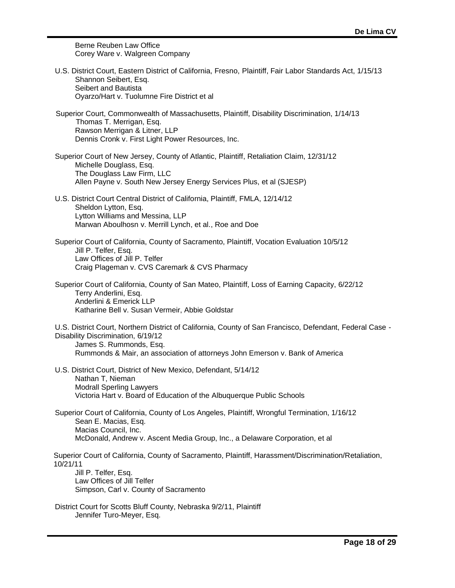Berne Reuben Law Office Corey Ware v. Walgreen Company

| U.S. District Court, Eastern District of California, Fresno, Plaintiff, Fair Labor Standards Act, 1/15/13<br>Shannon Seibert, Esq.<br>Seibert and Bautista<br>Oyarzo/Hart v. Tuolumne Fire District et al                                                 |
|-----------------------------------------------------------------------------------------------------------------------------------------------------------------------------------------------------------------------------------------------------------|
| Superior Court, Commonwealth of Massachusetts, Plaintiff, Disability Discrimination, 1/14/13<br>Thomas T. Merrigan, Esq.<br>Rawson Merrigan & Litner, LLP<br>Dennis Cronk v. First Light Power Resources, Inc.                                            |
| Superior Court of New Jersey, County of Atlantic, Plaintiff, Retaliation Claim, 12/31/12<br>Michelle Douglass, Esq.<br>The Douglass Law Firm, LLC<br>Allen Payne v. South New Jersey Energy Services Plus, et al (SJESP)                                  |
| U.S. District Court Central District of California, Plaintiff, FMLA, 12/14/12<br>Sheldon Lytton, Esq.<br>Lytton Williams and Messina, LLP<br>Marwan Aboulhosn v. Merrill Lynch, et al., Roe and Doe                                                       |
| Superior Court of California, County of Sacramento, Plaintiff, Vocation Evaluation 10/5/12<br>Jill P. Telfer, Esq.<br>Law Offices of Jill P. Telfer<br>Craig Plageman v. CVS Caremark & CVS Pharmacy                                                      |
| Superior Court of California, County of San Mateo, Plaintiff, Loss of Earning Capacity, 6/22/12<br>Terry Anderlini, Esq.<br>Anderlini & Emerick LLP<br>Katharine Bell v. Susan Vermeir, Abbie Goldstar                                                    |
| U.S. District Court, Northern District of California, County of San Francisco, Defendant, Federal Case -<br>Disability Discrimination, 6/19/12<br>James S. Rummonds, Esq.<br>Rummonds & Mair, an association of attorneys John Emerson v. Bank of America |
| U.S. District Court, District of New Mexico, Defendant, 5/14/12<br>Nathan T, Nieman<br><b>Modrall Sperling Lawyers</b><br>Victoria Hart v. Board of Education of the Albuquerque Public Schools                                                           |
| Superior Court of California, County of Los Angeles, Plaintiff, Wrongful Termination, 1/16/12<br>Sean E. Macias, Esq.<br>Macias Council, Inc.<br>McDonald, Andrew v. Ascent Media Group, Inc., a Delaware Corporation, et al                              |
| Superior Court of California, County of Sacramento, Plaintiff, Harassment/Discrimination/Retaliation,<br>10/21/11<br>Jill P. Telfer, Esq.<br>Law Offices of Jill Telfer<br>Simpson, Carl v. County of Sacramento                                          |
| District Court for Scotts Bluff County, Nebraska 9/2/11, Plaintiff<br>Jennifer Turo-Meyer, Esq.                                                                                                                                                           |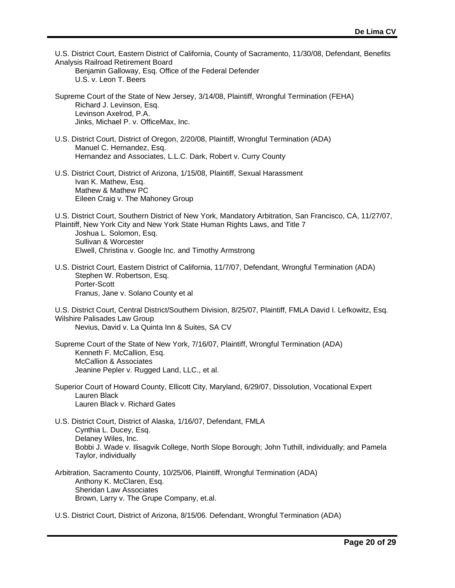| U.S. District Court, Eastern District of California, County of Sacramento, 11/30/08, Defendant, Benefits<br>Analysis Railroad Retirement Board<br>Benjamin Galloway, Esq. Office of the Federal Defender<br>U.S. v. Leon T. Beers                                                                  |
|----------------------------------------------------------------------------------------------------------------------------------------------------------------------------------------------------------------------------------------------------------------------------------------------------|
| Supreme Court of the State of New Jersey, 3/14/08, Plaintiff, Wrongful Termination (FEHA)<br>Richard J. Levinson, Esq.<br>Levinson Axelrod, P.A.<br>Jinks, Michael P. v. OfficeMax, Inc.                                                                                                           |
| U.S. District Court, District of Oregon, 2/20/08, Plaintiff, Wrongful Termination (ADA)<br>Manuel C. Hernandez, Esq.<br>Hernandez and Associates, L.L.C. Dark, Robert v. Curry County                                                                                                              |
| U.S. District Court, District of Arizona, 1/15/08, Plaintiff, Sexual Harassment<br>Ivan K. Mathew, Esq.<br>Mathew & Mathew PC<br>Eileen Craig v. The Mahoney Group                                                                                                                                 |
| U.S. District Court, Southern District of New York, Mandatory Arbitration, San Francisco, CA, 11/27/07,<br>Plaintiff, New York City and New York State Human Rights Laws, and Title 7<br>Joshua L. Solomon, Esq.<br>Sullivan & Worcester<br>Elwell, Christina v. Google Inc. and Timothy Armstrong |
| U.S. District Court, Eastern District of California, 11/7/07, Defendant, Wrongful Termination (ADA)<br>Stephen W. Robertson, Esq.<br>Porter-Scott<br>Franus, Jane v. Solano County et al                                                                                                           |
| U.S. District Court, Central District/Southern Division, 8/25/07, Plaintiff, FMLA David I. Lefkowitz, Esq.<br>Wilshire Palisades Law Group<br>Nevius, David v. La Quinta Inn & Suites, SA CV                                                                                                       |
| Supreme Court of the State of New York, 7/16/07, Plaintiff, Wrongful Termination (ADA)<br>Kenneth F. McCallion, Esq.<br><b>McCallion &amp; Associates</b><br>Jeanine Pepler v. Rugged Land, LLC., et al.                                                                                           |
| Superior Court of Howard County, Ellicott City, Maryland, 6/29/07, Dissolution, Vocational Expert<br>Lauren Black<br>Lauren Black v. Richard Gates                                                                                                                                                 |
| U.S. District Court, District of Alaska, 1/16/07, Defendant, FMLA<br>Cynthia L. Ducey, Esq.<br>Delaney Wiles, Inc.<br>Bobbi J. Wade v. Ilisagvik College, North Slope Borough; John Tuthill, individually; and Pamela<br>Taylor, individually                                                      |
| Arbitration, Sacramento County, 10/25/06, Plaintiff, Wrongful Termination (ADA)<br>Anthony K. McClaren, Esq.<br><b>Sheridan Law Associates</b><br>Brown, Larry v. The Grupe Company, et.al.                                                                                                        |
| U.S. District Court, District of Arizona, 8/15/06. Defendant, Wrongful Termination (ADA)                                                                                                                                                                                                           |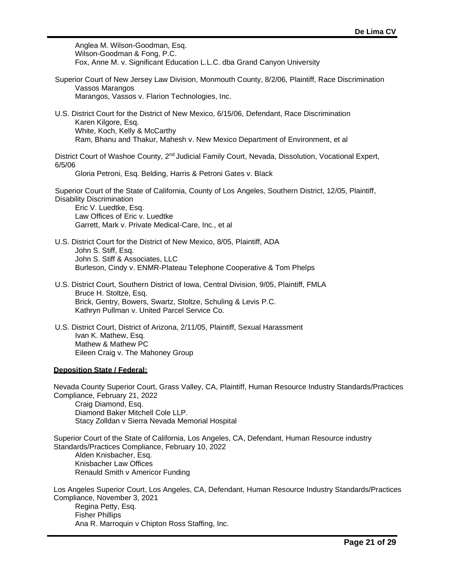Anglea M. Wilson-Goodman, Esq. Wilson-Goodman & Fong, P.C. Fox, Anne M. v. Significant Education L.L.C. dba Grand Canyon University

- Superior Court of New Jersey Law Division, Monmouth County, 8/2/06, Plaintiff, Race Discrimination Vassos Marangos Marangos, Vassos v. Flarion Technologies, Inc.
- U.S. District Court for the District of New Mexico, 6/15/06, Defendant, Race Discrimination Karen Kilgore, Esq. White, Koch, Kelly & McCarthy Ram, Bhanu and Thakur, Mahesh v. New Mexico Department of Environment, et al

District Court of Washoe County, 2<sup>nd</sup> Judicial Family Court, Nevada, Dissolution, Vocational Expert, 6/5/06

Gloria Petroni, Esq. Belding, Harris & Petroni Gates v. Black

Superior Court of the State of California, County of Los Angeles, Southern District, 12/05, Plaintiff, Disability Discrimination

Eric V. Luedtke, Esq. Law Offices of Eric v. Luedtke Garrett, Mark v. Private Medical-Care, Inc., et al

- U.S. District Court for the District of New Mexico, 8/05, Plaintiff, ADA John S. Stiff, Esq. John S. Stiff & Associates, LLC Burleson, Cindy v. ENMR-Plateau Telephone Cooperative & Tom Phelps
- U.S. District Court, Southern District of Iowa, Central Division, 9/05, Plaintiff, FMLA Bruce H. Stoltze, Esq. Brick, Gentry, Bowers, Swartz, Stoltze, Schuling & Levis P.C. Kathryn Pullman v. United Parcel Service Co.
- U.S. District Court, District of Arizona, 2/11/05, Plaintiff, Sexual Harassment Ivan K. Mathew, Esq. Mathew & Mathew PC Eileen Craig v. The Mahoney Group

# **Deposition State / Federal:**

Nevada County Superior Court, Grass Valley, CA, Plaintiff, Human Resource Industry Standards/Practices Compliance, February 21, 2022 Craig Diamond, Esq. Diamond Baker Mitchell Cole LLP. Stacy Zolldan v Sierra Nevada Memorial Hospital

Superior Court of the State of California, Los Angeles, CA, Defendant, Human Resource industry Standards/Practices Compliance, February 10, 2022 Alden Knisbacher, Esq. Knisbacher Law Offices Renauld Smith v Americor Funding

Los Angeles Superior Court, Los Angeles, CA, Defendant, Human Resource Industry Standards/Practices Compliance, November 3, 2021 Regina Petty, Esq. Fisher Phillips Ana R. Marroquin v Chipton Ross Staffing, Inc.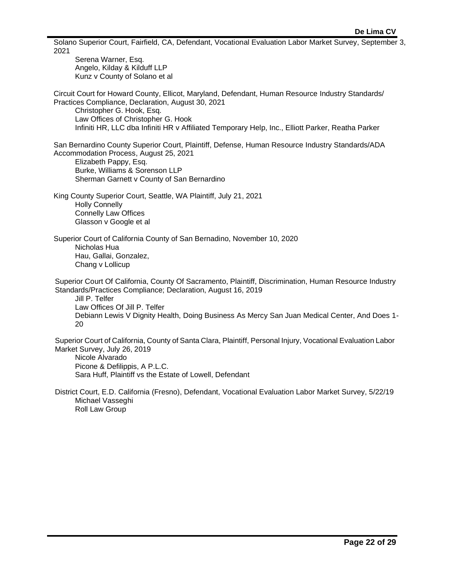Solano Superior Court, Fairfield, CA, Defendant, Vocational Evaluation Labor Market Survey, September 3, 2021 Serena Warner, Esq. Angelo, Kilday & Kilduff LLP Kunz v County of Solano et al Circuit Court for Howard County, Ellicot, Maryland, Defendant, Human Resource Industry Standards/ Practices Compliance, Declaration, August 30, 2021 Christopher G. Hook, Esq. Law Offices of Christopher G. Hook Infiniti HR, LLC dba Infiniti HR v Affiliated Temporary Help, Inc., Elliott Parker, Reatha Parker San Bernardino County Superior Court, Plaintiff, Defense, Human Resource Industry Standards/ADA Accommodation Process, August 25, 2021 Elizabeth Pappy, Esq. Burke, Williams & Sorenson LLP Sherman Garnett v County of San Bernardino King County Superior Court, Seattle, WA Plaintiff, July 21, 2021 Holly Connelly Connelly Law Offices Glasson v Google et al Superior Court of California County of San Bernadino, November 10, 2020 Nicholas Hua Hau, Gallai, Gonzalez, Chang v Lollicup Superior Court Of California, County Of Sacramento, Plaintiff, Discrimination, Human Resource Industry Standards/Practices Compliance; Declaration, August 16, 2019 Jill P. Telfer Law Offices Of Jill P. Telfer Debiann Lewis V Dignity Health, Doing Business As Mercy San Juan Medical Center, And Does 1- 20 Superior Court of California, County of Santa Clara, Plaintiff, Personal Injury, Vocational Evaluation Labor Market Survey, July 26, 2019 Nicole Alvarado Picone & Defilippis, A P.L.C. Sara Huff, Plaintiff vs the Estate of Lowell, Defendant

District Court, E.D. California (Fresno), Defendant, Vocational Evaluation Labor Market Survey, 5/22/19 Michael Vasseghi Roll Law Group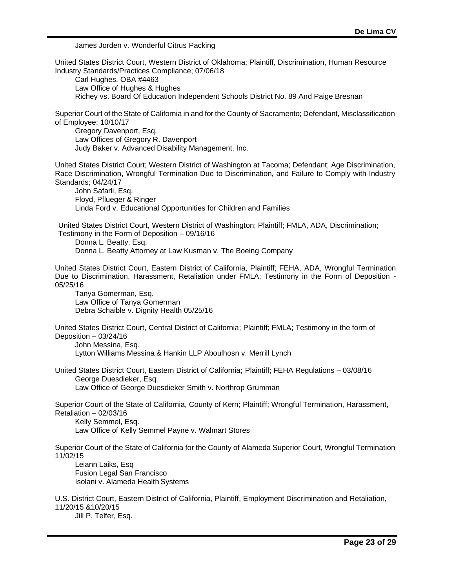James Jorden v. Wonderful Citrus Packing

United States District Court, Western District of Oklahoma; Plaintiff, Discrimination, Human Resource Industry Standards/Practices Compliance; 07/06/18 Carl Hughes, OBA #4463 Law Office of Hughes & Hughes Richey vs. Board Of Education Independent Schools District No. 89 And Paige Bresnan Superior Court of the State of California in and for the County of Sacramento; Defendant, Misclassification of Employee; 10/10/17 Gregory Davenport, Esq. Law Offices of Gregory R. Davenport Judy Baker v. Advanced Disability Management, Inc. United States District Court; Western District of Washington at Tacoma; Defendant; Age Discrimination, Race Discrimination, Wrongful Termination Due to Discrimination, and Failure to Comply with Industry Standards; 04/24/17 John Safarli, Esq. Floyd, Pflueger & Ringer Linda Ford v. Educational Opportunities for Children and Families United States District Court, Western District of Washington; Plaintiff; FMLA, ADA, Discrimination; Testimony in the Form of Deposition – 09/16/16 Donna L. Beatty, Esq. Donna L. Beatty Attorney at Law Kusman v. The Boeing Company United States District Court, Eastern District of California, Plaintiff; FEHA, ADA, Wrongful Termination Due to Discrimination, Harassment, Retaliation under FMLA; Testimony in the Form of Deposition - 05/25/16 Tanya Gomerman, Esq. Law Office of Tanya Gomerman Debra Schaible v. Dignity Health 05/25/16 United States District Court, Central District of California; Plaintiff; FMLA; Testimony in the form of Deposition – 03/24/16 John Messina, Esq. Lytton Williams Messina & Hankin LLP Aboulhosn v. Merrill Lynch United States District Court, Eastern District of California; Plaintiff; FEHA Regulations – 03/08/16 George Duesdieker, Esq. Law Office of George Duesdieker Smith v. Northrop Grumman Superior Court of the State of California, County of Kern; Plaintiff; Wrongful Termination, Harassment, Retaliation – 02/03/16 Kelly Semmel, Esq. Law Office of Kelly Semmel Payne v. Walmart Stores Superior Court of the State of California for the County of Alameda Superior Court, Wrongful Termination 11/02/15 Leiann Laiks, Esq Fusion Legal San Francisco Isolani v. Alameda Health Systems U.S. District Court, Eastern District of California, Plaintiff, Employment Discrimination and Retaliation, 11/20/15 &10/20/15 Jill P. Telfer, Esq.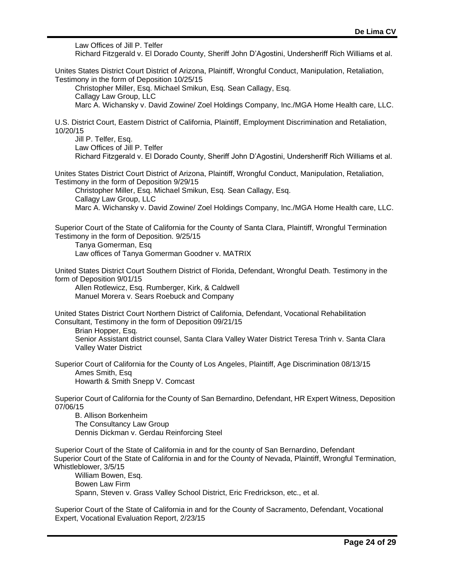Law Offices of Jill P. Telfer Richard Fitzgerald v. El Dorado County, Sheriff John D'Agostini, Undersheriff Rich Williams et al. Unites States District Court District of Arizona, Plaintiff, Wrongful Conduct, Manipulation, Retaliation, Testimony in the form of Deposition 10/25/15 Christopher Miller, Esq. Michael Smikun, Esq. Sean Callagy, Esq. Callagy Law Group, LLC Marc A. Wichansky v. David Zowine/ Zoel Holdings Company, Inc./MGA Home Health care, LLC. U.S. District Court, Eastern District of California, Plaintiff, Employment Discrimination and Retaliation, 10/20/15 Jill P. Telfer, Esq. Law Offices of Jill P. Telfer Richard Fitzgerald v. El Dorado County, Sheriff John D'Agostini, Undersheriff Rich Williams et al. Unites States District Court District of Arizona, Plaintiff, Wrongful Conduct, Manipulation, Retaliation, Testimony in the form of Deposition 9/29/15 Christopher Miller, Esq. Michael Smikun, Esq. Sean Callagy, Esq. Callagy Law Group, LLC Marc A. Wichansky v. David Zowine/ Zoel Holdings Company, Inc./MGA Home Health care, LLC. Superior Court of the State of California for the County of Santa Clara, Plaintiff, Wrongful Termination Testimony in the form of Deposition. 9/25/15 Tanya Gomerman, Esq Law offices of Tanya Gomerman Goodner v. MATRIX United States District Court Southern District of Florida, Defendant, Wrongful Death. Testimony in the form of Deposition 9/01/15 Allen Rotlewicz, Esq. Rumberger, Kirk, & Caldwell Manuel Morera v. Sears Roebuck and Company United States District Court Northern District of California, Defendant, Vocational Rehabilitation Consultant, Testimony in the form of Deposition 09/21/15 Brian Hopper, Esq. Senior Assistant district counsel, Santa Clara Valley Water District Teresa Trinh v. Santa Clara Valley Water District Superior Court of California for the County of Los Angeles, Plaintiff, Age Discrimination 08/13/15 Ames Smith, Esq Howarth & Smith Snepp V. Comcast Superior Court of California for the County of San Bernardino, Defendant, HR Expert Witness, Deposition 07/06/15 B. Allison Borkenheim The Consultancy Law Group Dennis Dickman v. Gerdau Reinforcing Steel Superior Court of the State of California in and for the county of San Bernardino, Defendant Superior Court of the State of California in and for the County of Nevada, Plaintiff, Wrongful Termination, Whistleblower, 3/5/15 William Bowen, Esq. Bowen Law Firm Spann, Steven v. Grass Valley School District, Eric Fredrickson, etc., et al.

Superior Court of the State of California in and for the County of Sacramento, Defendant, Vocational Expert, Vocational Evaluation Report, 2/23/15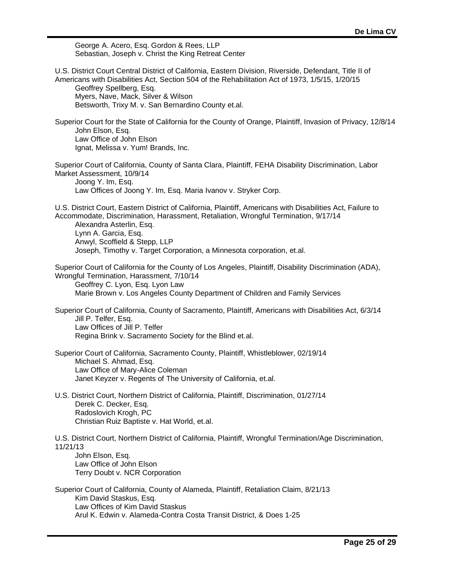George A. Acero, Esq. Gordon & Rees, LLP Sebastian, Joseph v. Christ the King Retreat Center

U.S. District Court Central District of California, Eastern Division, Riverside, Defendant, Title II of Americans with Disabilities Act, Section 504 of the Rehabilitation Act of 1973, 1/5/15, 1/20/15 Geoffrey Spellberg, Esq. Myers, Nave, Mack, Silver & Wilson Betsworth, Trixy M. v. San Bernardino County et.al. Superior Court for the State of California for the County of Orange, Plaintiff, Invasion of Privacy, 12/8/14 John Elson, Esq. Law Office of John Elson Ignat, Melissa v. Yum! Brands, Inc. Superior Court of California, County of Santa Clara, Plaintiff, FEHA Disability Discrimination, Labor Market Assessment, 10/9/14 Joong Y. Im, Esq. Law Offices of Joong Y. Im, Esq. Maria Ivanov v. Stryker Corp. U.S. District Court, Eastern District of California, Plaintiff, Americans with Disabilities Act, Failure to Accommodate, Discrimination, Harassment, Retaliation, Wrongful Termination, 9/17/14 Alexandra Asterlin, Esq. Lynn A. Garcia, Esq. Anwyl, Scoffield & Stepp, LLP Joseph, Timothy v. Target Corporation, a Minnesota corporation, et.al. Superior Court of California for the County of Los Angeles, Plaintiff, Disability Discrimination (ADA), Wrongful Termination, Harassment, 7/10/14 Geoffrey C. Lyon, Esq. Lyon Law Marie Brown v. Los Angeles County Department of Children and Family Services Superior Court of California, County of Sacramento, Plaintiff, Americans with Disabilities Act, 6/3/14 Jill P. Telfer, Esq. Law Offices of Jill P. Telfer Regina Brink v. Sacramento Society for the Blind et.al. Superior Court of California, Sacramento County, Plaintiff, Whistleblower, 02/19/14 Michael S. Ahmad, Esq. Law Office of Mary-Alice Coleman Janet Keyzer v. Regents of The University of California, et.al. U.S. District Court, Northern District of California, Plaintiff, Discrimination, 01/27/14 Derek C. Decker, Esq. Radoslovich Krogh, PC Christian Ruiz Baptiste v. Hat World, et.al. U.S. District Court, Northern District of California, Plaintiff, Wrongful Termination/Age Discrimination, 11/21/13 John Elson, Esq. Law Office of John Elson Terry Doubt v. NCR Corporation Superior Court of California, County of Alameda, Plaintiff, Retaliation Claim, 8/21/13 Kim David Staskus, Esq. Law Offices of Kim David Staskus Arul K. Edwin v. Alameda-Contra Costa Transit District, & Does 1-25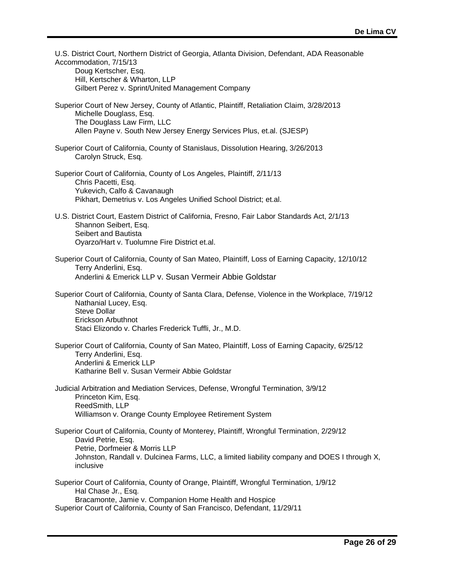| U.S. District Court, Northern District of Georgia, Atlanta Division, Defendant, ADA Reasonable<br>Accommodation, 7/15/13<br>Doug Kertscher, Esq.<br>Hill, Kertscher & Wharton, LLP<br>Gilbert Perez v. Sprint/United Management Company                        |
|----------------------------------------------------------------------------------------------------------------------------------------------------------------------------------------------------------------------------------------------------------------|
| Superior Court of New Jersey, County of Atlantic, Plaintiff, Retaliation Claim, 3/28/2013<br>Michelle Douglass, Esq.<br>The Douglass Law Firm, LLC<br>Allen Payne v. South New Jersey Energy Services Plus, et.al. (SJESP)                                     |
| Superior Court of California, County of Stanislaus, Dissolution Hearing, 3/26/2013<br>Carolyn Struck, Esq.                                                                                                                                                     |
| Superior Court of California, County of Los Angeles, Plaintiff, 2/11/13<br>Chris Pacetti, Esq.<br>Yukevich, Calfo & Cavanaugh<br>Pikhart, Demetrius v. Los Angeles Unified School District; et.al.                                                             |
| U.S. District Court, Eastern District of California, Fresno, Fair Labor Standards Act, 2/1/13<br>Shannon Seibert, Esq.<br>Seibert and Bautista<br>Oyarzo/Hart v. Tuolumne Fire District et.al.                                                                 |
| Superior Court of California, County of San Mateo, Plaintiff, Loss of Earning Capacity, 12/10/12<br>Terry Anderlini, Esq.<br>Anderlini & Emerick LLP v. Susan Vermeir Abbie Goldstar                                                                           |
| Superior Court of California, County of Santa Clara, Defense, Violence in the Workplace, 7/19/12<br>Nathanial Lucey, Esq.<br><b>Steve Dollar</b><br>Erickson Arbuthnot<br>Staci Elizondo v. Charles Frederick Tuffli, Jr., M.D.                                |
| Superior Court of California, County of San Mateo, Plaintiff, Loss of Earning Capacity, 6/25/12<br>Terry Anderlini, Esq.<br>Anderlini & Emerick LLP<br>Katharine Bell v. Susan Vermeir Abbie Goldstar                                                          |
| Judicial Arbitration and Mediation Services, Defense, Wrongful Termination, 3/9/12<br>Princeton Kim, Esq.<br>ReedSmith, LLP<br>Williamson v. Orange County Employee Retirement System                                                                          |
| Superior Court of California, County of Monterey, Plaintiff, Wrongful Termination, 2/29/12<br>David Petrie, Esq.<br>Petrie, Dorfmeier & Morris LLP<br>Johnston, Randall v. Dulcinea Farms, LLC, a limited liability company and DOES I through X,<br>inclusive |
| Superior Court of California, County of Orange, Plaintiff, Wrongful Termination, 1/9/12<br>Hal Chase Jr., Esq.<br>Bracamonte, Jamie v. Companion Home Health and Hospice<br>Superior Court of California, County of San Francisco, Defendant, 11/29/11         |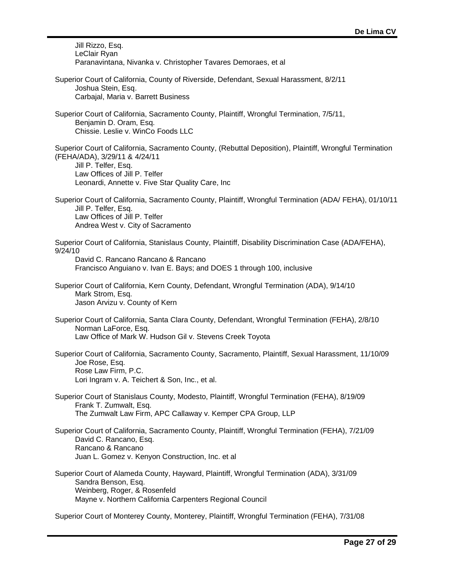Jill Rizzo, Esq. LeClair Ryan Paranavintana, Nivanka v. Christopher Tavares Demoraes, et al Superior Court of California, County of Riverside, Defendant, Sexual Harassment, 8/2/11 Joshua Stein, Esq. Carbajal, Maria v. Barrett Business Superior Court of California, Sacramento County, Plaintiff, Wrongful Termination, 7/5/11, Benjamin D. Oram, Esq. Chissie. Leslie v. WinCo Foods LLC Superior Court of California, Sacramento County, (Rebuttal Deposition), Plaintiff, Wrongful Termination (FEHA/ADA), 3/29/11 & 4/24/11 Jill P. Telfer, Esq. Law Offices of Jill P. Telfer Leonardi, Annette v. Five Star Quality Care, Inc Superior Court of California, Sacramento County, Plaintiff, Wrongful Termination (ADA/ FEHA), 01/10/11 Jill P. Telfer, Esq. Law Offices of Jill P. Telfer Andrea West v. City of Sacramento Superior Court of California, Stanislaus County, Plaintiff, Disability Discrimination Case (ADA/FEHA), 9/24/10 David C. Rancano Rancano & Rancano Francisco Anguiano v. Ivan E. Bays; and DOES 1 through 100, inclusive Superior Court of California, Kern County, Defendant, Wrongful Termination (ADA), 9/14/10 Mark Strom, Esq. Jason Arvizu v. County of Kern Superior Court of California, Santa Clara County, Defendant, Wrongful Termination (FEHA), 2/8/10 Norman LaForce, Esq. Law Office of Mark W. Hudson Gil v. Stevens Creek Toyota Superior Court of California, Sacramento County, Sacramento, Plaintiff, Sexual Harassment, 11/10/09 Joe Rose, Esq. Rose Law Firm, P.C. Lori Ingram v. A. Teichert & Son, Inc., et al. Superior Court of Stanislaus County, Modesto, Plaintiff, Wrongful Termination (FEHA), 8/19/09 Frank T. Zumwalt, Esq. The Zumwalt Law Firm, APC Callaway v. Kemper CPA Group, LLP Superior Court of California, Sacramento County, Plaintiff, Wrongful Termination (FEHA), 7/21/09 David C. Rancano, Esq. Rancano & Rancano Juan L. Gomez v. Kenyon Construction, Inc. et al Superior Court of Alameda County, Hayward, Plaintiff, Wrongful Termination (ADA), 3/31/09 Sandra Benson, Esq. Weinberg, Roger, & Rosenfeld Mayne v. Northern California Carpenters Regional Council Superior Court of Monterey County, Monterey, Plaintiff, Wrongful Termination (FEHA), 7/31/08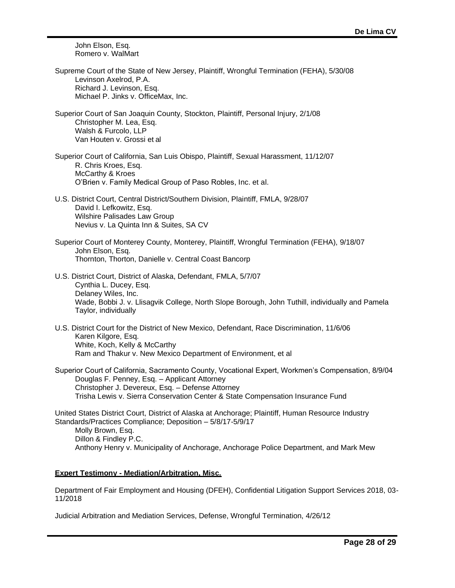John Elson, Esq. Romero v. WalMart

| Supreme Court of the State of New Jersey, Plaintiff, Wrongful Termination (FEHA), 5/30/08 |
|-------------------------------------------------------------------------------------------|
| Levinson Axelrod. P.A.                                                                    |
| Richard J. Levinson, Esg.                                                                 |
| Michael P. Jinks v. OfficeMax. Inc.                                                       |

- Superior Court of San Joaquin County, Stockton, Plaintiff, Personal Injury, 2/1/08 Christopher M. Lea, Esq. Walsh & Furcolo, LLP Van Houten v. Grossi et al
- Superior Court of California, San Luis Obispo, Plaintiff, Sexual Harassment, 11/12/07 R. Chris Kroes, Esq. McCarthy & Kroes O'Brien v. Family Medical Group of Paso Robles, Inc. et al.
- U.S. District Court, Central District/Southern Division, Plaintiff, FMLA, 9/28/07 David I. Lefkowitz, Esq. Wilshire Palisades Law Group Nevius v. La Quinta Inn & Suites, SA CV
- Superior Court of Monterey County, Monterey, Plaintiff, Wrongful Termination (FEHA), 9/18/07 John Elson, Esq. Thornton, Thorton, Danielle v. Central Coast Bancorp
- U.S. District Court, District of Alaska, Defendant, FMLA, 5/7/07 Cynthia L. Ducey, Esq. Delaney Wiles, Inc. Wade, Bobbi J. v. Llisagvik College, North Slope Borough, John Tuthill, individually and Pamela Taylor, individually
- U.S. District Court for the District of New Mexico, Defendant, Race Discrimination, 11/6/06 Karen Kilgore, Esq. White, Koch, Kelly & McCarthy Ram and Thakur v. New Mexico Department of Environment, et al

Superior Court of California, Sacramento County, Vocational Expert, Workmen's Compensation, 8/9/04 Douglas F. Penney, Esq. – Applicant Attorney Christopher J. Devereux, Esq. – Defense Attorney Trisha Lewis v. Sierra Conservation Center & State Compensation Insurance Fund

United States District Court, District of Alaska at Anchorage; Plaintiff, Human Resource Industry Standards/Practices Compliance; Deposition – 5/8/17-5/9/17

Molly Brown, Esq. Dillon & Findley P.C. Anthony Henry v. Municipality of Anchorage, Anchorage Police Department, and Mark Mew

# **Expert Testimony - Mediation/Arbitration, Misc.**

Department of Fair Employment and Housing (DFEH), Confidential Litigation Support Services 2018, 03- 11/2018

Judicial Arbitration and Mediation Services, Defense, Wrongful Termination, 4/26/12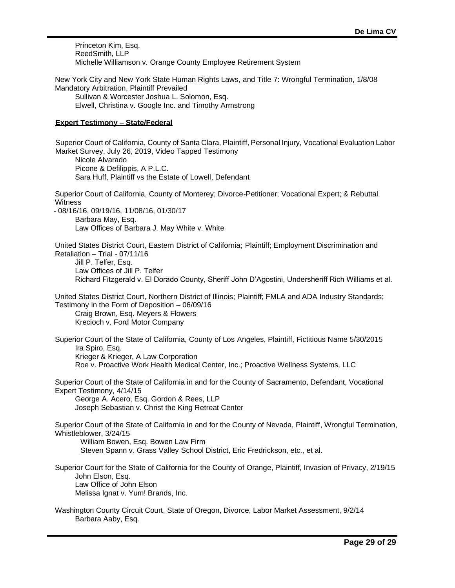Princeton Kim, Esq. ReedSmith, LLP Michelle Williamson v. Orange County Employee Retirement System

New York City and New York State Human Rights Laws, and Title 7: Wrongful Termination, 1/8/08 Mandatory Arbitration, Plaintiff Prevailed Sullivan & Worcester Joshua L. Solomon, Esq.

Elwell, Christina v. Google Inc. and Timothy Armstrong

# **Expert Testimony – State/Federal**

Superior Court of California, County of Santa Clara, Plaintiff, Personal Injury, Vocational Evaluation Labor Market Survey, July 26, 2019, Video Tapped Testimony Nicole Alvarado Picone & Defilippis, A P.L.C. Sara Huff, Plaintiff vs the Estate of Lowell, Defendant Superior Court of California, County of Monterey; Divorce-Petitioner; Vocational Expert; & Rebuttal **Witness** - 08/16/16, 09/19/16, 11/08/16, 01/30/17 Barbara May, Esq. Law Offices of Barbara J. May White v. White United States District Court, Eastern District of California; Plaintiff; Employment Discrimination and Retaliation – Trial - 07/11/16 Jill P. Telfer, Esq. Law Offices of Jill P. Telfer Richard Fitzgerald v. El Dorado County, Sheriff John D'Agostini, Undersheriff Rich Williams et al. United States District Court, Northern District of Illinois; Plaintiff; FMLA and ADA Industry Standards; Testimony in the Form of Deposition – 06/09/16 Craig Brown, Esq. Meyers & Flowers Krecioch v. Ford Motor Company Superior Court of the State of California, County of Los Angeles, Plaintiff, Fictitious Name 5/30/2015 Ira Spiro, Esq. Krieger & Krieger, A Law Corporation Roe v. Proactive Work Health Medical Center, Inc.; Proactive Wellness Systems, LLC Superior Court of the State of California in and for the County of Sacramento, Defendant, Vocational Expert Testimony, 4/14/15 George A. Acero, Esq. Gordon & Rees, LLP Joseph Sebastian v. Christ the King Retreat Center Superior Court of the State of California in and for the County of Nevada, Plaintiff, Wrongful Termination, Whistleblower, 3/24/15 William Bowen, Esq. Bowen Law Firm Steven Spann v. Grass Valley School District, Eric Fredrickson, etc., et al. Superior Court for the State of California for the County of Orange, Plaintiff, Invasion of Privacy, 2/19/15 John Elson, Esq. Law Office of John Elson Melissa Ignat v. Yum! Brands, Inc. Washington County Circuit Court, State of Oregon, Divorce, Labor Market Assessment, 9/2/14 Barbara Aaby, Esq.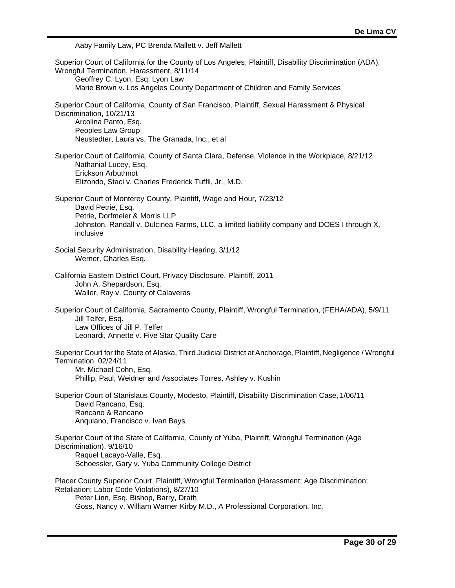Aaby Family Law, PC Brenda Mallett v. Jeff Mallett

Superior Court of California for the County of Los Angeles, Plaintiff, Disability Discrimination (ADA), Wrongful Termination, Harassment, 8/11/14 Geoffrey C. Lyon, Esq. Lyon Law Marie Brown v. Los Angeles County Department of Children and Family Services Superior Court of California, County of San Francisco, Plaintiff, Sexual Harassment & Physical Discrimination, 10/21/13 Arcolina Panto, Esq. Peoples Law Group Neustedter, Laura vs. The Granada, Inc., et al Superior Court of California, County of Santa Clara, Defense, Violence in the Workplace, 8/21/12 Nathanial Lucey, Esq. Erickson Arbuthnot Elizondo, Staci v. Charles Frederick Tuffli, Jr., M.D. Superior Court of Monterey County, Plaintiff, Wage and Hour, 7/23/12 David Petrie, Esq. Petrie, Dorfmeier & Morris LLP Johnston, Randall v. Dulcinea Farms, LLC, a limited liability company and DOES I through X, inclusive Social Security Administration, Disability Hearing, 3/1/12 Werner, Charles Esq. California Eastern District Court, Privacy Disclosure, Plaintiff, 2011 John A. Shepardson, Esq. Waller, Ray v. County of Calaveras Superior Court of California, Sacramento County, Plaintiff, Wrongful Termination, (FEHA/ADA), 5/9/11 Jill Telfer, Esq. Law Offices of Jill P. Telfer Leonardi, Annette v. Five Star Quality Care Superior Court for the State of Alaska, Third Judicial District at Anchorage, Plaintiff, Negligence / Wrongful Termination, 02/24/11 Mr. Michael Cohn, Esq. Phillip, Paul, Weidner and Associates Torres, Ashley v. Kushin Superior Court of Stanislaus County, Modesto, Plaintiff, Disability Discrimination Case,1/06/11 David Rancano, Esq. Rancano & Rancano Anquiano, Francisco v. Ivan Bays Superior Court of the State of California, County of Yuba, Plaintiff, Wrongful Termination (Age Discrimination), 9/16/10 Raquel Lacayo-Valle, Esq. Schoessler, Gary v. Yuba Community College District Placer County Superior Court, Plaintiff, Wrongful Termination (Harassment; Age Discrimination; Retaliation; Labor Code Violations), 8/27/10 Peter Linn, Esq. Bishop, Barry, Drath Goss, Nancy v. William Warner Kirby M.D., A Professional Corporation, Inc.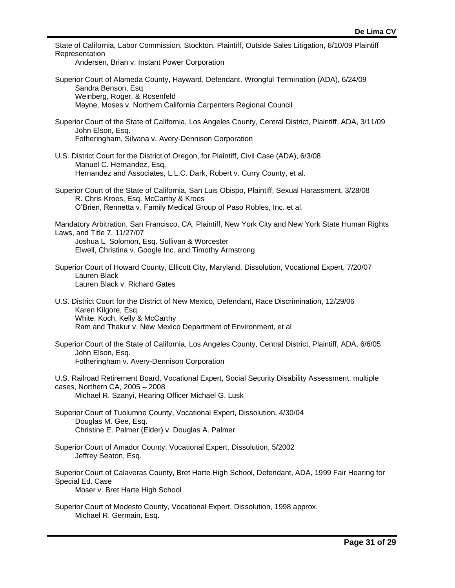| State of California, Labor Commission, Stockton, Plaintiff, Outside Sales Litigation, 8/10/09 Plaintiff<br>Representation<br>Andersen, Brian v. Instant Power Corporation                                                                   |
|---------------------------------------------------------------------------------------------------------------------------------------------------------------------------------------------------------------------------------------------|
| Superior Court of Alameda County, Hayward, Defendant, Wrongful Termination (ADA), 6/24/09<br>Sandra Benson, Esq.<br>Weinberg, Roger, & Rosenfeld<br>Mayne, Moses v. Northern California Carpenters Regional Council                         |
| Superior Court of the State of California, Los Angeles County, Central District, Plaintiff, ADA, 3/11/09<br>John Elson, Esq.<br>Fotheringham, Silvana v. Avery-Dennison Corporation                                                         |
| U.S. District Court for the District of Oregon, for Plaintiff, Civil Case (ADA), 6/3/08<br>Manuel C. Hernandez, Esq.<br>Hernandez and Associates, L.L.C. Dark, Robert v. Curry County, et al.                                               |
| Superior Court of the State of California, San Luis Obispo, Plaintiff, Sexual Harassment, 3/28/08<br>R. Chris Kroes, Esq. McCarthy & Kroes<br>O'Brien, Rennetta v. Family Medical Group of Paso Robles, Inc. et al.                         |
| Mandatory Arbitration, San Francisco, CA, Plaintiff, New York City and New York State Human Rights<br>Laws, and Title 7, 11/27/07<br>Joshua L. Solomon, Esq. Sullivan & Worcester<br>Elwell, Christina v. Google Inc. and Timothy Armstrong |
| Superior Court of Howard County, Ellicott City, Maryland, Dissolution, Vocational Expert, 7/20/07<br>Lauren Black<br>Lauren Black v. Richard Gates                                                                                          |
| U.S. District Court for the District of New Mexico, Defendant, Race Discrimination, 12/29/06<br>Karen Kilgore, Esq.<br>White, Koch, Kelly & McCarthy<br>Ram and Thakur v. New Mexico Department of Environment, et al                       |
| Superior Court of the State of California, Los Angeles County, Central District, Plaintiff, ADA, 6/6/05<br>John Elson, Esq.<br>Fotheringham v. Avery-Dennison Corporation                                                                   |
| U.S. Railroad Retirement Board, Vocational Expert, Social Security Disability Assessment, multiple<br>cases, Northern CA, 2005 - 2008<br>Michael R. Szanyi, Hearing Officer Michael G. Lusk                                                 |
| Superior Court of Tuolumne County, Vocational Expert, Dissolution, 4/30/04<br>Douglas M. Gee, Esq.<br>Christine E. Palmer (Elder) v. Douglas A. Palmer                                                                                      |
| Superior Court of Amador County, Vocational Expert, Dissolution, 5/2002<br>Jeffrey Seaton, Esq.                                                                                                                                             |
| Superior Court of Calaveras County, Bret Harte High School, Defendant, ADA, 1999 Fair Hearing for<br>Special Ed. Case<br>Moser v. Bret Harte High School                                                                                    |
| Superior Court of Modesto County, Vocational Expert, Dissolution, 1998 approx.<br>Michael R. Germain, Esq.                                                                                                                                  |